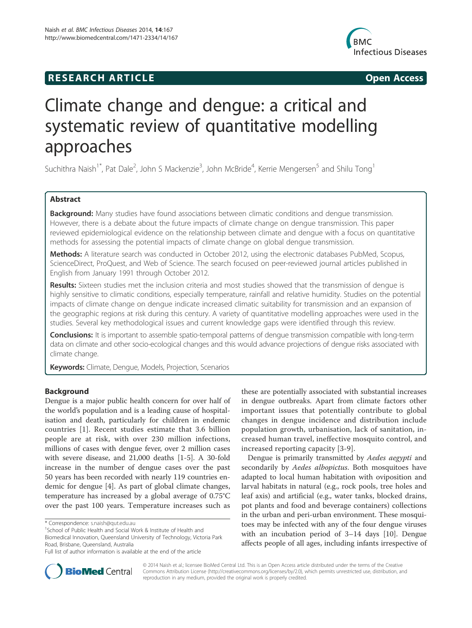# **RESEARCH ARTICLE Example 2014 The SEAR CH ACCESS**



# Climate change and dengue: a critical and systematic review of quantitative modelling approaches

Suchithra Naish<sup>1\*</sup>, Pat Dale<sup>2</sup>, John S Mackenzie<sup>3</sup>, John McBride<sup>4</sup>, Kerrie Mengersen<sup>5</sup> and Shilu Tong<sup>1</sup>

# Abstract

Background: Many studies have found associations between climatic conditions and dengue transmission. However, there is a debate about the future impacts of climate change on dengue transmission. This paper reviewed epidemiological evidence on the relationship between climate and dengue with a focus on quantitative methods for assessing the potential impacts of climate change on global dengue transmission.

Methods: A literature search was conducted in October 2012, using the electronic databases PubMed, Scopus, ScienceDirect, ProQuest, and Web of Science. The search focused on peer-reviewed journal articles published in English from January 1991 through October 2012.

Results: Sixteen studies met the inclusion criteria and most studies showed that the transmission of dengue is highly sensitive to climatic conditions, especially temperature, rainfall and relative humidity. Studies on the potential impacts of climate change on dengue indicate increased climatic suitability for transmission and an expansion of the geographic regions at risk during this century. A variety of quantitative modelling approaches were used in the studies. Several key methodological issues and current knowledge gaps were identified through this review.

**Conclusions:** It is important to assemble spatio-temporal patterns of dengue transmission compatible with long-term data on climate and other socio-ecological changes and this would advance projections of dengue risks associated with climate change.

Keywords: Climate, Dengue, Models, Projection, Scenarios

# Background

Dengue is a major public health concern for over half of the world's population and is a leading cause of hospitalisation and death, particularly for children in endemic countries [1]. Recent studies estimate that 3.6 billion people are at risk, with over 230 million infections, millions of cases with dengue fever, over 2 million cases with severe disease, and 21,000 deaths [1-5]. A 30-fold increase in the number of dengue cases over the past 50 years has been recorded with nearly 119 countries endemic for dengue [4]. As part of global climate changes, temperature has increased by a global average of 0.75°C over the past 100 years. Temperature increases such as

<sup>1</sup>School of Public Health and Social Work & Institute of Health and Biomedical Innovation, Queensland University of Technology, Victoria Park Road, Brisbane, Queensland, Australia

these are potentially associated with substantial increases in dengue outbreaks. Apart from climate factors other important issues that potentially contribute to global changes in dengue incidence and distribution include population growth, urbanisation, lack of sanitation, increased human travel, ineffective mosquito control, and increased reporting capacity [3-9].

Dengue is primarily transmitted by Aedes aegypti and secondarily by Aedes albopictus. Both mosquitoes have adapted to local human habitation with oviposition and larval habitats in natural (e.g., rock pools, tree holes and leaf axis) and artificial (e.g., water tanks, blocked drains, pot plants and food and beverage containers) collections in the urban and peri-urban environment. These mosquitoes may be infected with any of the four dengue viruses with an incubation period of 3–14 days [10]. Dengue affects people of all ages, including infants irrespective of



© 2014 Naish et al.; licensee BioMed Central Ltd. This is an Open Access article distributed under the terms of the Creative Commons Attribution License (http://creativecommons.org/licenses/by/2.0), which permits unrestricted use, distribution, and reproduction in any medium, provided the original work is properly credited.

<sup>\*</sup> Correspondence: s.naish@qut.edu.au <sup>1</sup>

Full list of author information is available at the end of the article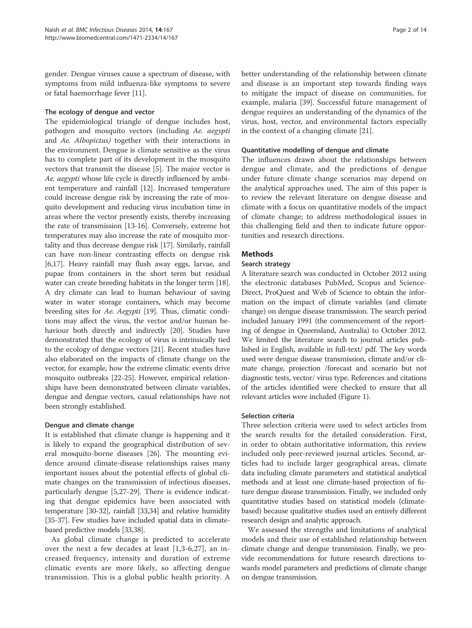gender. Dengue viruses cause a spectrum of disease, with symptoms from mild influenza-like symptoms to severe or fatal haemorrhage fever [11].

#### The ecology of dengue and vector

The epidemiological triangle of dengue includes host, pathogen and mosquito vectors (including Ae. aegypti and Ae. Albopictus) together with their interactions in the environment. Dengue is climate sensitive as the virus has to complete part of its development in the mosquito vectors that transmit the disease [5]. The major vector is Ae. aegypti whose life cycle is directly influenced by ambient temperature and rainfall [12]. Increased temperature could increase dengue risk by increasing the rate of mosquito development and reducing virus incubation time in areas where the vector presently exists, thereby increasing the rate of transmission [13-16]. Conversely, extreme hot temperatures may also increase the rate of mosquito mortality and thus decrease dengue risk [17]. Similarly, rainfall can have non-linear contrasting effects on dengue risk [6,17]. Heavy rainfall may flush away eggs, larvae, and pupae from containers in the short term but residual water can create breeding habitats in the longer term [18]. A dry climate can lead to human behaviour of saving water in water storage containers, which may become breeding sites for Ae. Aegypti [19]. Thus, climatic conditions may affect the virus, the vector and/or human behaviour both directly and indirectly [20]. Studies have demonstrated that the ecology of virus is intrinsically tied to the ecology of dengue vectors [21]. Recent studies have also elaborated on the impacts of climate change on the vector, for example, how the extreme climatic events drive mosquito outbreaks [22-25]. However, empirical relationships have been demonstrated between climate variables, dengue and dengue vectors, casual relationships have not been strongly established.

#### Dengue and climate change

It is established that climate change is happening and it is likely to expand the geographical distribution of several mosquito-borne diseases [26]. The mounting evidence around climate-disease relationships raises many important issues about the potential effects of global climate changes on the transmission of infectious diseases, particularly dengue [5,27-29]. There is evidence indicating that dengue epidemics have been associated with temperature [30-32], rainfall [33,34] and relative humidity [35-37]. Few studies have included spatial data in climatebased predictive models [33,38].

As global climate change is predicted to accelerate over the next a few decades at least [1,3-6,27], an increased frequency, intensity and duration of extreme climatic events are more likely, so affecting dengue transmission. This is a global public health priority. A better understanding of the relationship between climate and disease is an important step towards finding ways to mitigate the impact of disease on communities, for example, malaria [39]. Successful future management of dengue requires an understanding of the dynamics of the virus, host, vector, and environmental factors especially in the context of a changing climate [21].

#### Quantitative modelling of dengue and climate

The influences drawn about the relationships between dengue and climate, and the predictions of dengue under future climate change scenarios may depend on the analytical approaches used. The aim of this paper is to review the relevant literature on dengue disease and climate with a focus on quantitative models of the impact of climate change; to address methodological issues in this challenging field and then to indicate future opportunities and research directions.

### **Methods**

#### Search strategy

A literature search was conducted in October 2012 using the electronic databases PubMed, Scopus and Science-Direct, ProQuest and Web of Science to obtain the information on the impact of climate variables (and climate change) on dengue disease transmission. The search period included January 1991 (the commencement of the reporting of dengue in Queensland, Australia) to October 2012. We limited the literature search to journal articles published in English, available in full-text/ pdf. The key words used were dengue disease transmission, climate and/or climate change, projection /forecast and scenario but not diagnostic tests, vector/ virus type. References and citations of the articles identified were checked to ensure that all relevant articles were included (Figure 1).

#### Selection criteria

Three selection criteria were used to select articles from the search results for the detailed consideration. First, in order to obtain authoritative information, this review included only peer-reviewed journal articles. Second, articles had to include larger geographical areas, climate data including climate parameters and statistical analytical methods and at least one climate-based projection of future dengue disease transmission. Finally, we included only quantitative studies based on statistical models (climatebased) because qualitative studies used an entirely different research design and analytic approach.

We assessed the strengths and limitations of analytical models and their use of established relationship between climate change and dengue transmission. Finally, we provide recommendations for future research directions towards model parameters and predictions of climate change on dengue transmission.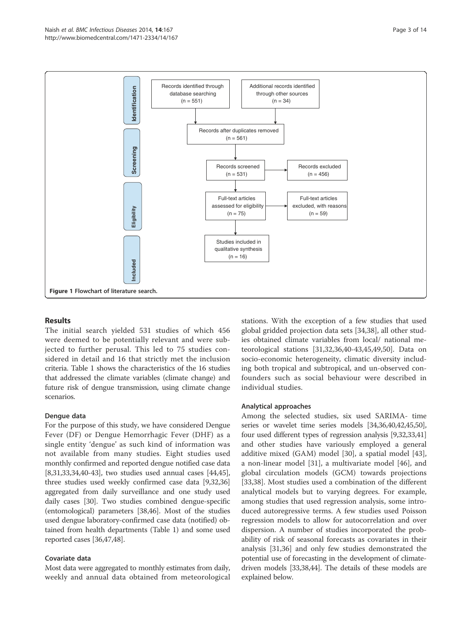

#### Results

The initial search yielded 531 studies of which 456 were deemed to be potentially relevant and were subjected to further perusal. This led to 75 studies considered in detail and 16 that strictly met the inclusion criteria. Table 1 shows the characteristics of the 16 studies that addressed the climate variables (climate change) and future risk of dengue transmission, using climate change scenarios.

#### Dengue data

For the purpose of this study, we have considered Dengue Fever (DF) or Dengue Hemorrhagic Fever (DHF) as a single entity 'dengue' as such kind of information was not available from many studies. Eight studies used monthly confirmed and reported dengue notified case data [8,31,33,34,40-43], two studies used annual cases [44,45], three studies used weekly confirmed case data [9,32,36] aggregated from daily surveillance and one study used daily cases [30]. Two studies combined dengue-specific (entomological) parameters [38,46]. Most of the studies used dengue laboratory-confirmed case data (notified) obtained from health departments (Table 1) and some used reported cases [36,47,48].

#### Covariate data

Most data were aggregated to monthly estimates from daily, weekly and annual data obtained from meteorological stations. With the exception of a few studies that used global gridded projection data sets [34,38], all other studies obtained climate variables from local/ national meteorological stations [31,32,36,40-43,45,49,50]. Data on socio-economic heterogeneity, climatic diversity including both tropical and subtropical, and un-observed confounders such as social behaviour were described in individual studies.

#### Analytical approaches

Among the selected studies, six used SARIMA- time series or wavelet time series models [34,36,40,42,45,50], four used different types of regression analysis [9,32,33,41] and other studies have variously employed a general additive mixed (GAM) model [30], a spatial model [43], a non-linear model [31], a multivariate model [46], and global circulation models (GCM) towards projections [33,38]. Most studies used a combination of the different analytical models but to varying degrees. For example, among studies that used regression analysis, some introduced autoregressive terms. A few studies used Poisson regression models to allow for autocorrelation and over dispersion. A number of studies incorporated the probability of risk of seasonal forecasts as covariates in their analysis [31,36] and only few studies demonstrated the potential use of forecasting in the development of climatedriven models [33,38,44]. The details of these models are explained below.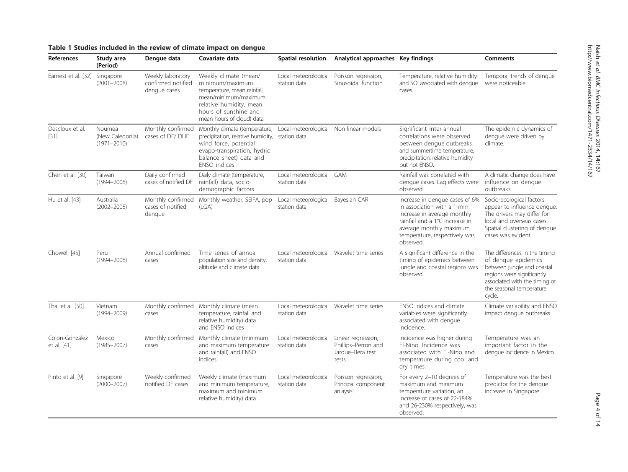| <b>References</b>             | Study area<br>(Period)                       | Dengue data                                             | Covariate data                                                                                                                                                                            | Spatial resolution                                | Analytical approaches Key findings                                     |                                                                                                                                                                                                        | <b>Comments</b>                                                                                                                                                                         |
|-------------------------------|----------------------------------------------|---------------------------------------------------------|-------------------------------------------------------------------------------------------------------------------------------------------------------------------------------------------|---------------------------------------------------|------------------------------------------------------------------------|--------------------------------------------------------------------------------------------------------------------------------------------------------------------------------------------------------|-----------------------------------------------------------------------------------------------------------------------------------------------------------------------------------------|
| Earnest et al. [32] Singapore | $(2001 - 2008)$                              | Weekly laboratory<br>confirmed notified<br>denque cases | Weekly climate (mean/<br>minimum/maximum<br>temperature, mean rainfall,<br>mean/minimum/maximum<br>relative humidity, mean<br>hours of sunshine and<br>mean hours of cloud) data          | Local meteorological<br>station data              | Poisson regression,<br>Sinusoidal function                             | Temperature, relative humidity<br>and SOI associated with dengue<br>cases.                                                                                                                             | Temporal trends of dengue<br>were noticeable.                                                                                                                                           |
| Descloux et al.<br>$[31]$     | Noumea<br>(New Caledonia)<br>$(1971 - 2010)$ | Monthly confirmed<br>cases of DF/DHF                    | Monthly climate (temperature,<br>precipitation, relative humidity, station data<br>wind force, potential<br>evapo-transpiration, hydric<br>balance sheet) data and<br><b>ENSO</b> indices | Local meteorological Non-linear models            |                                                                        | Significant inter-annual<br>correlations were observed<br>between dengue outbreaks<br>and summertime temperature,<br>precipitation, relative humidity<br>but not ENSO.                                 | The epidemic dynamics of<br>denque were driven by<br>climate.                                                                                                                           |
| Chen et al. [30]              | Taiwan<br>$(1994 - 2008)$                    | Daily confirmed<br>cases of notified DF                 | Daily climate (temperature,<br>rainfall) data, socio-<br>demographic factors                                                                                                              | Local meteorological GAM<br>station data          |                                                                        | Rainfall was correlated with<br>dengue cases. Lag effects were<br>observed.                                                                                                                            | A climatic change does have<br>influence on dengue<br>outbreaks.                                                                                                                        |
| Hu et al. [43]                | Australia<br>$(2002 - 2005)$                 | Monthly confirmed<br>cases of notified<br>dengue        | Monthly weather, SEIFA, pop<br>(LGA)                                                                                                                                                      | Local meteorological Bayesian CAR<br>station data |                                                                        | Increase in dengue cases of 6%<br>in association with a 1-mm<br>increase in average monthly<br>rainfall and a 1°C increase in<br>average monthly maximum<br>temperature, respectively was<br>observed. | Socio-ecological factors<br>appear to influence dengue.<br>The drivers may differ for<br>local and overseas cases.<br>Spatial clustering of dengue<br>cases was evident.                |
| Chowell [45]                  | Peru<br>$(1994 - 2008)$                      | Annual confirmed<br>cases                               | Time series of annual<br>population size and density,<br>altitude and climate data                                                                                                        | station data                                      | Local meteorological Wavelet time series                               | A significant difference in the<br>timing of epidemics between<br>jungle and coastal regions was<br>observed.                                                                                          | The differences in the timing<br>of dengue epidemics<br>between jungle and coastal<br>regions were significantly<br>associated with the timing of<br>the seasonal temperature<br>cycle. |
| Thai et al. [50]              | Vietnam<br>$(1994 - 2009)$                   | cases                                                   | Monthly confirmed Monthly climate (mean<br>temperature, rainfall and<br>relative humidity) data<br>and ENSO indices                                                                       | station data                                      | Local meteorological Wavelet time series                               | ENSO indices and climate<br>variables were significantly<br>associated with dengue<br>incidence.                                                                                                       | Climate variability and ENSO<br>impact dengue outbreaks.                                                                                                                                |
| Colon-Gonzalez<br>et al. [41] | Mexico<br>$(1985 - 2007)$                    | Monthly confirmed<br>cases                              | Monthly climate (minimum<br>and maximum temperature<br>and rainfall) and ENSO<br>indices                                                                                                  | Local meteorological<br>station data              | Linear regression,<br>Phillips-Perron and<br>Jarque-Bera test<br>tests | Incidence was higher during<br>El-Nino. Incidence was<br>associated with El-Nino and<br>temperature during cool and<br>dry times.                                                                      | Temperature was an<br>important factor in the<br>dengue incidence in Mexico.                                                                                                            |
| Pinto et al. [9]              | Singapore<br>$(2000 - 2007)$                 | Weekly confirmed<br>notified DF cases                   | Weekly climate (maximum<br>and minimum temperature,<br>maximum and minimum<br>relative humidity) data                                                                                     | Local meteorological<br>station data              | Poisson regression,<br>Principal component<br>anlaysis                 | For every 2-10 degrees of<br>maximum and minimum<br>temperature variation, an<br>increase of cases of 22-184%<br>and 26-230% respectively, was<br>observed.                                            | Temperature was the best<br>predictor for the dengue<br>increase in Singapore.                                                                                                          |

### Table 1 Studies included in the review of climate impact on dengue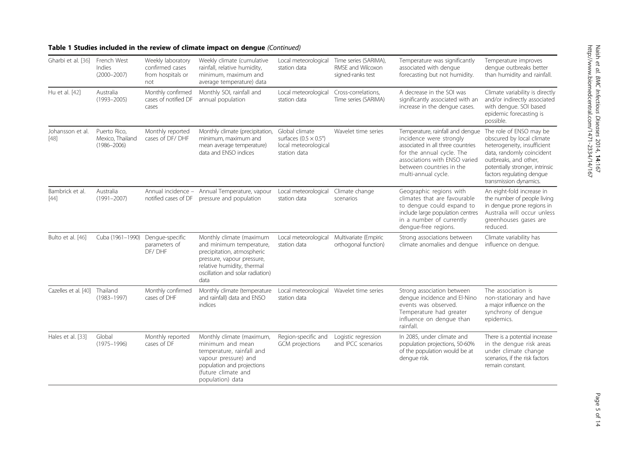# Table 1 Studies included in the review of climate impact on dengue (Continued)

| Gharbi et al. [36]         | French West<br>Indies<br>$(2000 - 2007)$            | Weekly laboratory<br>confirmed cases<br>from hospitals or<br>not | Weekly climate (cumulative<br>rainfall, relative humidity,<br>minimum, maximum and<br>average temperature) data                                                                            | Local meteorological<br>station data                                                          | Time series (SARIMA),<br>RMSE and Wilcoxon<br>signed-ranks test | Temperature was significantly<br>associated with dengue<br>forecasting but not humidity.                                                                                                                          | Temperature improves<br>denque outbreaks better<br>than humidity and rainfall.                                                                                                                                                      |
|----------------------------|-----------------------------------------------------|------------------------------------------------------------------|--------------------------------------------------------------------------------------------------------------------------------------------------------------------------------------------|-----------------------------------------------------------------------------------------------|-----------------------------------------------------------------|-------------------------------------------------------------------------------------------------------------------------------------------------------------------------------------------------------------------|-------------------------------------------------------------------------------------------------------------------------------------------------------------------------------------------------------------------------------------|
| Hu et al. [42]             | Australia<br>$(1993 - 2005)$                        | Monthly confirmed<br>cases of notified DF<br>cases               | Monthly SOI, rainfall and<br>annual population                                                                                                                                             | Local meteorological<br>station data                                                          | Cross-correlations.<br>Time series (SARIMA)                     | A decrease in the SOI was<br>significantly associated with an<br>increase in the dengue cases.                                                                                                                    | Climate variability is directly<br>and/or indirectly associated<br>with dengue. SOI based<br>epidemic forecasting is<br>possible.                                                                                                   |
| Johansson et al.<br>$[48]$ | Puerto Rico.<br>Mexico, Thailand<br>$(1986 - 2006)$ | Monthly reported<br>cases of DF/DHF                              | Monthly climate (precipitation,<br>minimum, maximum and<br>mean average temperature)<br>data and ENSO indices                                                                              | Global climate<br>surfaces $(0.5 \times 0.5^{\circ})$<br>local meteorological<br>station data | Wavelet time series                                             | Temperature, rainfall and dengue<br>incidence were strongly<br>associated in all three countries<br>for the annual cycle. The<br>associations with ENSO varied<br>between countries in the<br>multi-annual cycle. | The role of ENSO may be<br>obscured by local climate<br>heterogeneity, insufficient<br>data, randomly coincident<br>outbreaks, and other,<br>potentially stronger, intrinsic<br>factors regulating dengue<br>transmission dynamics. |
| Bambrick et al.<br>[44]    | Australia<br>$(1991 - 2007)$                        | notified cases of DF                                             | Annual incidence - Annual Temperature, vapour<br>pressure and population                                                                                                                   | Local meteorological<br>station data                                                          | Climate change<br>scenarios                                     | Geographic regions with<br>climates that are favourable<br>to dengue could expand to<br>include large population centres<br>in a number of currently<br>denque-free regions.                                      | An eight-fold increase in<br>the number of people living<br>in dengue prone regions in<br>Australia will occur unless<br>greenhouses gases are<br>reduced.                                                                          |
| Bulto et al. [46]          | Cuba (1961-1990)                                    | Dengue-specific<br>parameters of<br>DF/DHF                       | Monthly climate (maximum<br>and minimum temperature,<br>precipitation, atmospheric<br>pressure, vapour pressure,<br>relative humidity, thermal<br>oscillation and solar radiation)<br>data | Local meteorological<br>station data                                                          | Multivariate (Empiric<br>orthogonal function)                   | Strong associations between<br>climate anomalies and denque                                                                                                                                                       | Climate variability has<br>influence on denque.                                                                                                                                                                                     |
| Cazelles et al. [40]       | Thailand<br>$(1983 - 1997)$                         | Monthly confirmed<br>cases of DHF                                | Monthly climate (temperature<br>and rainfall) data and ENSO<br>indices                                                                                                                     | Local meteorological<br>station data                                                          | Wavelet time series                                             | Strong association between<br>denque incidence and El-Nino<br>events was observed.<br>Temperature had greater<br>influence on dengue than<br>rainfall.                                                            | The association is<br>non-stationary and have<br>a major influence on the<br>synchrony of dengue<br>epidemics.                                                                                                                      |
| Hales et al. [33]          | Global<br>$(1975 - 1996)$                           | Monthly reported<br>cases of DF                                  | Monthly climate (maximum,<br>minimum and mean<br>temperature, rainfall and<br>vapour pressure) and<br>population and projections<br>(future climate and<br>population) data                | Region-specific and<br>GCM projections                                                        | Logistic regression<br>and IPCC scenarios                       | In 2085, under climate and<br>population projections, 50-60%<br>of the population would be at<br>dengue risk.                                                                                                     | There is a potential increase<br>in the dengue risk areas<br>under climate change<br>scenarios, if the risk factors<br>remain constant.                                                                                             |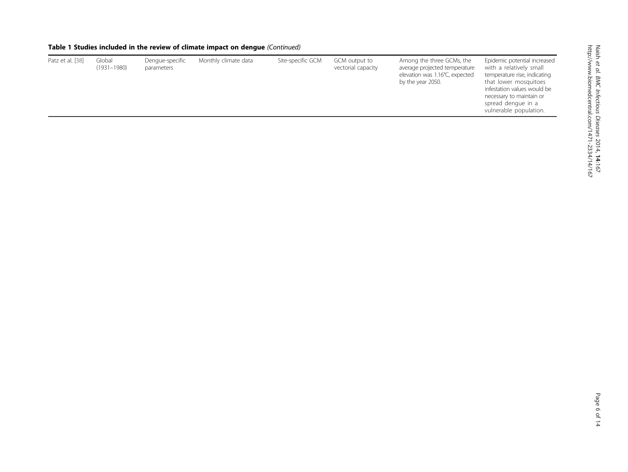| Patz et al. [38] | Global<br>$(1931 - 1980)$ | Dengue-specific<br>parameters | Monthly climate data | Site-specific GCM | GCM output to<br>vectorial capacity | Among the three GCMs, the<br>average projected temperature<br>elevation was 1.16°C, expected<br>by the year 2050. | Epidemic potential increased<br>with a relatively small<br>temperature rise, indicating<br>that lower mosquitoes<br>infestation values would be<br>necessary to maintain or<br>spread dengue in a<br>vulnerable population. |
|------------------|---------------------------|-------------------------------|----------------------|-------------------|-------------------------------------|-------------------------------------------------------------------------------------------------------------------|-----------------------------------------------------------------------------------------------------------------------------------------------------------------------------------------------------------------------------|
|------------------|---------------------------|-------------------------------|----------------------|-------------------|-------------------------------------|-------------------------------------------------------------------------------------------------------------------|-----------------------------------------------------------------------------------------------------------------------------------------------------------------------------------------------------------------------------|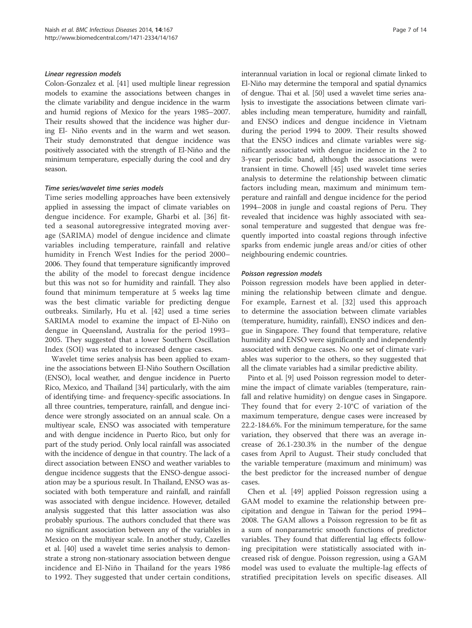#### Linear regression models

Colon-Gonzalez et al. [41] used multiple linear regression models to examine the associations between changes in the climate variability and dengue incidence in the warm and humid regions of Mexico for the years 1985–2007. Their results showed that the incidence was higher during El- Niño events and in the warm and wet season. Their study demonstrated that dengue incidence was positively associated with the strength of El-Niño and the minimum temperature, especially during the cool and dry season.

#### Time series/wavelet time series models

Time series modelling approaches have been extensively applied in assessing the impact of climate variables on dengue incidence. For example, Gharbi et al. [36] fitted a seasonal autoregressive integrated moving average (SARIMA) model of dengue incidence and climate variables including temperature, rainfall and relative humidity in French West Indies for the period 2000– 2006. They found that temperature significantly improved the ability of the model to forecast dengue incidence but this was not so for humidity and rainfall. They also found that minimum temperature at 5 weeks lag time was the best climatic variable for predicting dengue outbreaks. Similarly, Hu et al. [42] used a time series SARIMA model to examine the impact of El-Niño on dengue in Queensland, Australia for the period 1993– 2005. They suggested that a lower Southern Oscillation Index (SOI) was related to increased dengue cases.

Wavelet time series analysis has been applied to examine the associations between El-Niño Southern Oscillation (ENSO), local weather, and dengue incidence in Puerto Rico, Mexico, and Thailand [34] particularly, with the aim of identifying time- and frequency-specific associations. In all three countries, temperature, rainfall, and dengue incidence were strongly associated on an annual scale. On a multiyear scale, ENSO was associated with temperature and with dengue incidence in Puerto Rico, but only for part of the study period. Only local rainfall was associated with the incidence of dengue in that country. The lack of a direct association between ENSO and weather variables to dengue incidence suggests that the ENSO-dengue association may be a spurious result. In Thailand, ENSO was associated with both temperature and rainfall, and rainfall was associated with dengue incidence. However, detailed analysis suggested that this latter association was also probably spurious. The authors concluded that there was no significant association between any of the variables in Mexico on the multiyear scale. In another study, Cazelles et al. [40] used a wavelet time series analysis to demonstrate a strong non-stationary association between dengue incidence and El-Niño in Thailand for the years 1986 to 1992. They suggested that under certain conditions,

interannual variation in local or regional climate linked to El-Niño may determine the temporal and spatial dynamics of dengue. Thai et al. [50] used a wavelet time series analysis to investigate the associations between climate variables including mean temperature, humidity and rainfall, and ENSO indices and dengue incidence in Vietnam during the period 1994 to 2009. Their results showed that the ENSO indices and climate variables were significantly associated with dengue incidence in the 2 to 3-year periodic band, although the associations were transient in time. Chowell [45] used wavelet time series analysis to determine the relationship between climatic factors including mean, maximum and minimum temperature and rainfall and dengue incidence for the period 1994–2008 in jungle and coastal regions of Peru. They revealed that incidence was highly associated with seasonal temperature and suggested that dengue was frequently imported into coastal regions through infective sparks from endemic jungle areas and/or cities of other neighbouring endemic countries.

#### Poisson regression models

Poisson regression models have been applied in determining the relationship between climate and dengue. For example, Earnest et al. [32] used this approach to determine the association between climate variables (temperature, humidity, rainfall), ENSO indices and dengue in Singapore. They found that temperature, relative humidity and ENSO were significantly and independently associated with dengue cases. No one set of climate variables was superior to the others, so they suggested that all the climate variables had a similar predictive ability.

Pinto et al. [9] used Poisson regression model to determine the impact of climate variables (temperature, rainfall and relative humidity) on dengue cases in Singapore. They found that for every 2-10°C of variation of the maximum temperature, dengue cases were increased by 22.2-184.6%. For the minimum temperature, for the same variation, they observed that there was an average increase of 26.1-230.3% in the number of the dengue cases from April to August. Their study concluded that the variable temperature (maximum and minimum) was the best predictor for the increased number of dengue cases.

Chen et al. [49] applied Poisson regression using a GAM model to examine the relationship between precipitation and dengue in Taiwan for the period 1994– 2008. The GAM allows a Poisson regression to be fit as a sum of nonparametric smooth functions of predictor variables. They found that differential lag effects following precipitation were statistically associated with increased risk of dengue. Poisson regression, using a GAM model was used to evaluate the multiple-lag effects of stratified precipitation levels on specific diseases. All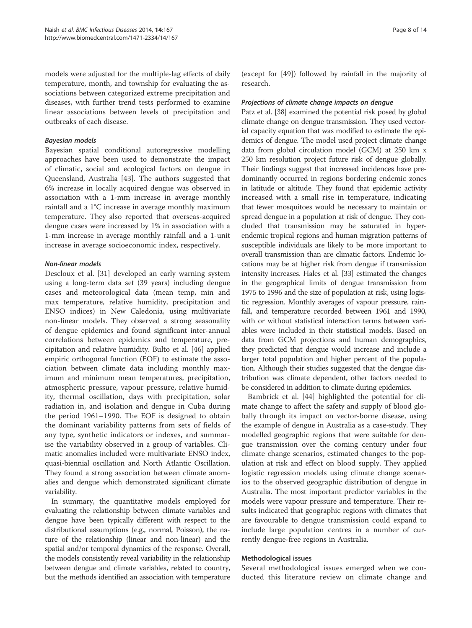models were adjusted for the multiple-lag effects of daily temperature, month, and township for evaluating the associations between categorized extreme precipitation and diseases, with further trend tests performed to examine linear associations between levels of precipitation and outbreaks of each disease.

#### Bayesian models

Bayesian spatial conditional autoregressive modelling approaches have been used to demonstrate the impact of climatic, social and ecological factors on dengue in Queensland, Australia [43]. The authors suggested that 6% increase in locally acquired dengue was observed in association with a 1-mm increase in average monthly rainfall and a 1°C increase in average monthly maximum temperature. They also reported that overseas-acquired dengue cases were increased by 1% in association with a 1-mm increase in average monthly rainfall and a 1-unit increase in average socioeconomic index, respectively.

#### Non-linear models

Descloux et al. [31] developed an early warning system using a long-term data set (39 years) including dengue cases and meteorological data (mean temp, min and max temperature, relative humidity, precipitation and ENSO indices) in New Caledonia, using multivariate non-linear models. They observed a strong seasonality of dengue epidemics and found significant inter-annual correlations between epidemics and temperature, precipitation and relative humidity. Bulto et al. [46] applied empiric orthogonal function (EOF) to estimate the association between climate data including monthly maximum and minimum mean temperatures, precipitation, atmospheric pressure, vapour pressure, relative humidity, thermal oscillation, days with precipitation, solar radiation in, and isolation and dengue in Cuba during the period 1961–1990. The EOF is designed to obtain the dominant variability patterns from sets of fields of any type, synthetic indicators or indexes, and summarise the variability observed in a group of variables. Climatic anomalies included were multivariate ENSO index, quasi-biennial oscillation and North Atlantic Oscillation. They found a strong association between climate anomalies and dengue which demonstrated significant climate variability.

In summary, the quantitative models employed for evaluating the relationship between climate variables and dengue have been typically different with respect to the distributional assumptions (e.g., normal, Poisson), the nature of the relationship (linear and non-linear) and the spatial and/or temporal dynamics of the response. Overall, the models consistently reveal variability in the relationship between dengue and climate variables, related to country, but the methods identified an association with temperature (except for [49]) followed by rainfall in the majority of research.

#### Projections of climate change impacts on dengue

Patz et al. [38] examined the potential risk posed by global climate change on dengue transmission. They used vectorial capacity equation that was modified to estimate the epidemics of dengue. The model used project climate change data from global circulation model (GCM) at 250 km x 250 km resolution project future risk of dengue globally. Their findings suggest that increased incidences have predominantly occurred in regions bordering endemic zones in latitude or altitude. They found that epidemic activity increased with a small rise in temperature, indicating that fewer mosquitoes would be necessary to maintain or spread dengue in a population at risk of dengue. They concluded that transmission may be saturated in hyperendemic tropical regions and human migration patterns of susceptible individuals are likely to be more important to overall transmission than are climatic factors. Endemic locations may be at higher risk from dengue if transmission intensity increases. Hales et al. [33] estimated the changes in the geographical limits of dengue transmission from 1975 to 1996 and the size of population at risk, using logistic regression. Monthly averages of vapour pressure, rainfall, and temperature recorded between 1961 and 1990, with or without statistical interaction terms between variables were included in their statistical models. Based on data from GCM projections and human demographics, they predicted that dengue would increase and include a larger total population and higher percent of the population. Although their studies suggested that the dengue distribution was climate dependent, other factors needed to be considered in addition to climate during epidemics.

Bambrick et al. [44] highlighted the potential for climate change to affect the safety and supply of blood globally through its impact on vector-borne disease, using the example of dengue in Australia as a case-study. They modelled geographic regions that were suitable for dengue transmission over the coming century under four climate change scenarios, estimated changes to the population at risk and effect on blood supply. They applied logistic regression models using climate change scenarios to the observed geographic distribution of dengue in Australia. The most important predictor variables in the models were vapour pressure and temperature. Their results indicated that geographic regions with climates that are favourable to dengue transmission could expand to include large population centres in a number of currently dengue-free regions in Australia.

#### Methodological issues

Several methodological issues emerged when we conducted this literature review on climate change and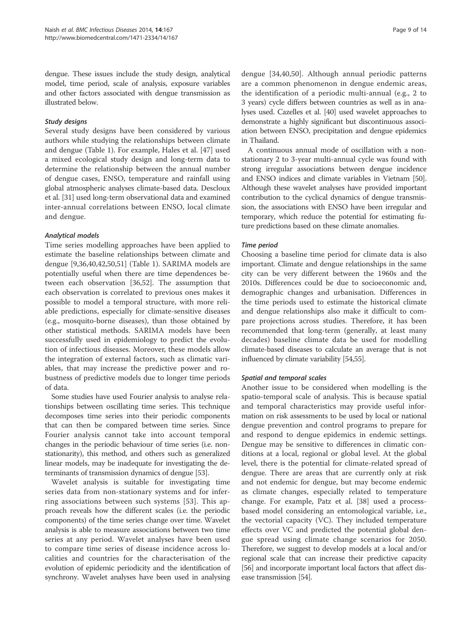dengue. These issues include the study design, analytical model, time period, scale of analysis, exposure variables and other factors associated with dengue transmission as illustrated below.

#### Study designs

Several study designs have been considered by various authors while studying the relationships between climate and dengue (Table 1). For example, Hales et al. [47] used a mixed ecological study design and long-term data to determine the relationship between the annual number of dengue cases, ENSO, temperature and rainfall using global atmospheric analyses climate-based data. Descloux et al. [31] used long-term observational data and examined inter-annual correlations between ENSO, local climate and dengue.

#### Analytical models

Time series modelling approaches have been applied to estimate the baseline relationships between climate and dengue [9,36,40,42,50,51] (Table 1). SARIMA models are potentially useful when there are time dependences between each observation [36,52]. The assumption that each observation is correlated to previous ones makes it possible to model a temporal structure, with more reliable predictions, especially for climate-sensitive diseases (e.g., mosquito-borne diseases), than those obtained by other statistical methods. SARIMA models have been successfully used in epidemiology to predict the evolution of infectious diseases. Moreover, these models allow the integration of external factors, such as climatic variables, that may increase the predictive power and robustness of predictive models due to longer time periods of data.

Some studies have used Fourier analysis to analyse relationships between oscillating time series. This technique decomposes time series into their periodic components that can then be compared between time series. Since Fourier analysis cannot take into account temporal changes in the periodic behaviour of time series (i.e. nonstationarity), this method, and others such as generalized linear models, may be inadequate for investigating the determinants of transmission dynamics of dengue [53].

Wavelet analysis is suitable for investigating time series data from non-stationary systems and for inferring associations between such systems [53]. This approach reveals how the different scales (i.e. the periodic components) of the time series change over time. Wavelet analysis is able to measure associations between two time series at any period. Wavelet analyses have been used to compare time series of disease incidence across localities and countries for the characterisation of the evolution of epidemic periodicity and the identification of synchrony. Wavelet analyses have been used in analysing

dengue [34,40,50]. Although annual periodic patterns are a common phenomenon in dengue endemic areas, the identification of a periodic multi-annual (e.g., 2 to 3 years) cycle differs between countries as well as in analyses used. Cazelles et al. [40] used wavelet approaches to demonstrate a highly significant but discontinuous association between ENSO, precipitation and dengue epidemics in Thailand.

A continuous annual mode of oscillation with a nonstationary 2 to 3-year multi-annual cycle was found with strong irregular associations between dengue incidence and ENSO indices and climate variables in Vietnam [50]. Although these wavelet analyses have provided important contribution to the cyclical dynamics of dengue transmission, the associations with ENSO have been irregular and temporary, which reduce the potential for estimating future predictions based on these climate anomalies.

#### Time period

Choosing a baseline time period for climate data is also important. Climate and dengue relationships in the same city can be very different between the 1960s and the 2010s. Differences could be due to socioeconomic and, demographic changes and urbanisation. Differences in the time periods used to estimate the historical climate and dengue relationships also make it difficult to compare projections across studies. Therefore, it has been recommended that long-term (generally, at least many decades) baseline climate data be used for modelling climate-based diseases to calculate an average that is not influenced by climate variability [54,55].

#### Spatial and temporal scales

Another issue to be considered when modelling is the spatio-temporal scale of analysis. This is because spatial and temporal characteristics may provide useful information on risk assessments to be used by local or national dengue prevention and control programs to prepare for and respond to dengue epidemics in endemic settings. Dengue may be sensitive to differences in climatic conditions at a local, regional or global level. At the global level, there is the potential for climate-related spread of dengue. There are areas that are currently only at risk and not endemic for dengue, but may become endemic as climate changes, especially related to temperature change. For example, Patz et al. [38] used a processbased model considering an entomological variable, i.e., the vectorial capacity (VC). They included temperature effects over VC and predicted the potential global dengue spread using climate change scenarios for 2050. Therefore, we suggest to develop models at a local and/or regional scale that can increase their predictive capacity [56] and incorporate important local factors that affect disease transmission [54].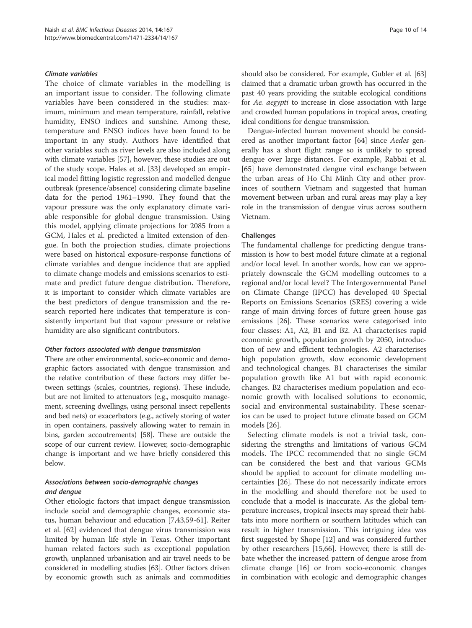#### Climate variables

The choice of climate variables in the modelling is an important issue to consider. The following climate variables have been considered in the studies: maximum, minimum and mean temperature, rainfall, relative humidity, ENSO indices and sunshine. Among these, temperature and ENSO indices have been found to be important in any study. Authors have identified that other variables such as river levels are also included along with climate variables [57], however, these studies are out of the study scope. Hales et al. [33] developed an empirical model fitting logistic regression and modelled dengue outbreak (presence/absence) considering climate baseline data for the period 1961–1990. They found that the vapour pressure was the only explanatory climate variable responsible for global dengue transmission. Using this model, applying climate projections for 2085 from a GCM, Hales et al. predicted a limited extension of dengue. In both the projection studies, climate projections were based on historical exposure-response functions of climate variables and dengue incidence that are applied to climate change models and emissions scenarios to estimate and predict future dengue distribution. Therefore, it is important to consider which climate variables are the best predictors of dengue transmission and the research reported here indicates that temperature is consistently important but that vapour pressure or relative humidity are also significant contributors.

#### Other factors associated with dengue transmission

There are other environmental, socio-economic and demographic factors associated with dengue transmission and the relative contribution of these factors may differ between settings (scales, countries, regions). These include, but are not limited to attenuators (e.g., mosquito management, screening dwellings, using personal insect repellents and bed nets) or exacerbators (e.g., actively storing of water in open containers, passively allowing water to remain in bins, garden accoutrements) [58]. These are outside the scope of our current review. However, socio-demographic change is important and we have briefly considered this below.

#### Associations between socio-demographic changes and dengue

Other etiologic factors that impact dengue transmission include social and demographic changes, economic status, human behaviour and education [7,43,59-61]. Reiter et al. [62] evidenced that dengue virus transmission was limited by human life style in Texas. Other important human related factors such as exceptional population growth, unplanned urbanisation and air travel needs to be considered in modelling studies [63]. Other factors driven by economic growth such as animals and commodities

should also be considered. For example, Gubler et al. [63] claimed that a dramatic urban growth has occurred in the past 40 years providing the suitable ecological conditions for Ae. aegypti to increase in close association with large and crowded human populations in tropical areas, creating ideal conditions for dengue transmission.

Dengue-infected human movement should be considered as another important factor [64] since Aedes generally has a short flight range so is unlikely to spread dengue over large distances. For example, Rabbai et al. [65] have demonstrated dengue viral exchange between the urban areas of Ho Chi Minh City and other provinces of southern Vietnam and suggested that human movement between urban and rural areas may play a key role in the transmission of dengue virus across southern Vietnam.

#### Challenges

The fundamental challenge for predicting dengue transmission is how to best model future climate at a regional and/or local level. In another words, how can we appropriately downscale the GCM modelling outcomes to a regional and/or local level? The Intergovernmental Panel on Climate Change (IPCC) has developed 40 Special Reports on Emissions Scenarios (SRES) covering a wide range of main driving forces of future green house gas emissions [26]. These scenarios were categorised into four classes: A1, A2, B1 and B2. A1 characterises rapid economic growth, population growth by 2050, introduction of new and efficient technologies. A2 characterises high population growth, slow economic development and technological changes. B1 characterises the similar population growth like A1 but with rapid economic changes. B2 characterises medium population and economic growth with localised solutions to economic, social and environmental sustainability. These scenarios can be used to project future climate based on GCM models [26].

Selecting climate models is not a trivial task, considering the strengths and limitations of various GCM models. The IPCC recommended that no single GCM can be considered the best and that various GCMs should be applied to account for climate modelling uncertainties [26]. These do not necessarily indicate errors in the modelling and should therefore not be used to conclude that a model is inaccurate. As the global temperature increases, tropical insects may spread their habitats into more northern or southern latitudes which can result in higher transmission. This intriguing idea was first suggested by Shope [12] and was considered further by other researchers [15,66]. However, there is still debate whether the increased pattern of dengue arose from climate change [16] or from socio-economic changes in combination with ecologic and demographic changes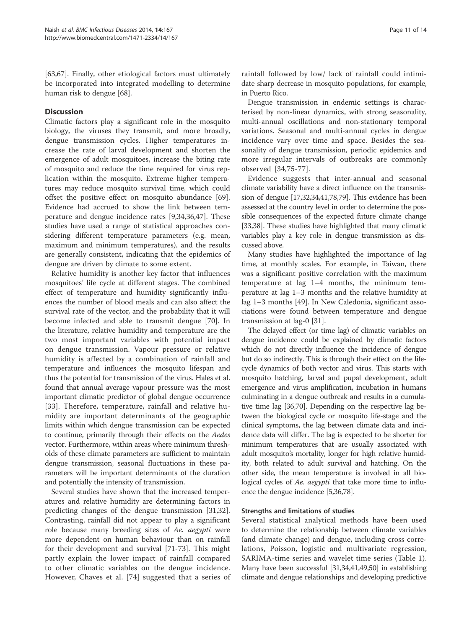[63,67]. Finally, other etiological factors must ultimately be incorporated into integrated modelling to determine human risk to dengue [68].

# **Discussion**

Climatic factors play a significant role in the mosquito biology, the viruses they transmit, and more broadly, dengue transmission cycles. Higher temperatures increase the rate of larval development and shorten the emergence of adult mosquitoes, increase the biting rate of mosquito and reduce the time required for virus replication within the mosquito. Extreme higher temperatures may reduce mosquito survival time, which could offset the positive effect on mosquito abundance [69]. Evidence had accrued to show the link between temperature and dengue incidence rates [9,34,36,47]. These studies have used a range of statistical approaches considering different temperature parameters (e.g. mean, maximum and minimum temperatures), and the results are generally consistent, indicating that the epidemics of dengue are driven by climate to some extent.

Relative humidity is another key factor that influences mosquitoes' life cycle at different stages. The combined effect of temperature and humidity significantly influences the number of blood meals and can also affect the survival rate of the vector, and the probability that it will become infected and able to transmit dengue [70]. In the literature, relative humidity and temperature are the two most important variables with potential impact on dengue transmission. Vapour pressure or relative humidity is affected by a combination of rainfall and temperature and influences the mosquito lifespan and thus the potential for transmission of the virus. Hales et al. found that annual average vapour pressure was the most important climatic predictor of global dengue occurrence [33]. Therefore, temperature, rainfall and relative humidity are important determinants of the geographic limits within which dengue transmission can be expected to continue, primarily through their effects on the Aedes vector. Furthermore, within areas where minimum thresholds of these climate parameters are sufficient to maintain dengue transmission, seasonal fluctuations in these parameters will be important determinants of the duration and potentially the intensity of transmission.

Several studies have shown that the increased temperatures and relative humidity are determining factors in predicting changes of the dengue transmission [31,32]. Contrasting, rainfall did not appear to play a significant role because many breeding sites of Ae. aegypti were more dependent on human behaviour than on rainfall for their development and survival [71-73]. This might partly explain the lower impact of rainfall compared to other climatic variables on the dengue incidence. However, Chaves et al. [74] suggested that a series of

rainfall followed by low/ lack of rainfall could intimidate sharp decrease in mosquito populations, for example, in Puerto Rico.

Dengue transmission in endemic settings is characterised by non-linear dynamics, with strong seasonality, multi-annual oscillations and non-stationary temporal variations. Seasonal and multi-annual cycles in dengue incidence vary over time and space. Besides the seasonality of dengue transmission, periodic epidemics and more irregular intervals of outbreaks are commonly observed [34,75-77].

Evidence suggests that inter-annual and seasonal climate variability have a direct influence on the transmission of dengue [17,32,34,41,78,79]. This evidence has been assessed at the country level in order to determine the possible consequences of the expected future climate change [33,38]. These studies have highlighted that many climatic variables play a key role in dengue transmission as discussed above.

Many studies have highlighted the importance of lag time, at monthly scales. For example, in Taiwan, there was a significant positive correlation with the maximum temperature at lag 1–4 months, the minimum temperature at lag 1–3 months and the relative humidity at lag 1–3 months [49]. In New Caledonia, significant associations were found between temperature and dengue transmission at lag-0 [31].

The delayed effect (or time lag) of climatic variables on dengue incidence could be explained by climatic factors which do not directly influence the incidence of dengue but do so indirectly. This is through their effect on the lifecycle dynamics of both vector and virus. This starts with mosquito hatching, larval and pupal development, adult emergence and virus amplification, incubation in humans culminating in a dengue outbreak and results in a cumulative time lag [36,70]. Depending on the respective lag between the biological cycle or mosquito life-stage and the clinical symptoms, the lag between climate data and incidence data will differ. The lag is expected to be shorter for minimum temperatures that are usually associated with adult mosquito's mortality, longer for high relative humidity, both related to adult survival and hatching. On the other side, the mean temperature is involved in all biological cycles of Ae. *aegypti* that take more time to influence the dengue incidence [5,36,78].

#### Strengths and limitations of studies

Several statistical analytical methods have been used to determine the relationship between climate variables (and climate change) and dengue, including cross correlations, Poisson, logistic and multivariate regression, SARIMA-time series and wavelet time series (Table 1). Many have been successful [31,34,41,49,50] in establishing climate and dengue relationships and developing predictive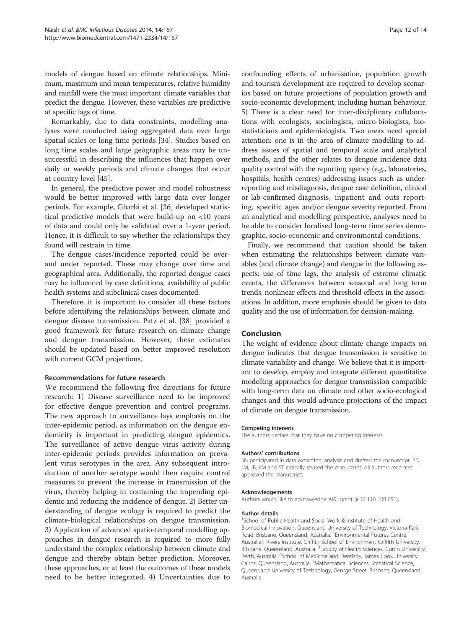models of dengue based on climate relationships. Minimum, maximum and mean temperatures, relative humidity and rainfall were the most important climate variables that predict the dengue. However, these variables are predictive at specific lags of time.

Remarkably, due to data constraints, modelling analyses were conducted using aggregated data over large spatial scales or long time periods [34]. Studies based on long time scales and large geographic areas may be unsuccessful in describing the influences that happen over daily or weekly periods and climate changes that occur at country level [45].

In general, the predictive power and model robustness would be better improved with large data over longer periods. For example, Gharbi et al. [36] developed statistical predictive models that were build-up on <10 years of data and could only be validated over a 1-year period. Hence, it is difficult to say whether the relationships they found will restrain in time.

The dengue cases/incidence reported could be overand under reported. These may change over time and geographical area. Additionally, the reported dengue cases may be influenced by case definitions, availability of public health systems and subclinical cases documented.

Therefore, it is important to consider all these factors before identifying the relationships between climate and dengue disease transmission. Patz et al. [38] provided a good framework for future research on climate change and dengue transmission. However, these estimates should be updated based on better improved resolution with current GCM projections.

#### Recommendations for future research

We recommend the following five directions for future research: 1) Disease surveillance need to be improved for effective dengue prevention and control programs. The new approach to surveillance lays emphasis on the inter-epidemic period, as information on the dengue endemicity is important in predicting dengue epidemics. The surveillance of active dengue virus activity during inter-epidemic periods provides information on prevalent virus serotypes in the area. Any subsequent introduction of another serotype would then require control measures to prevent the increase in transmission of the virus, thereby helping in containing the impending epidemic and reducing the incidence of dengue. 2) Better understanding of dengue ecology is required to predict the climate-biological relationships on dengue transmission. 3) Application of advanced spatio-temporal modelling approaches in dengue research is required to more fully understand the complex relationship between climate and dengue and thereby obtain better prediction. Moreover, these approaches, or at least the outcomes of these models need to be better integrated. 4) Uncertainties due to

confounding effects of urbanisation, population growth and tourism development are required to develop scenarios based on future projections of population growth and socio-economic development, including human behaviour. 5) There is a clear need for inter-disciplinary collaborations with ecologists, sociologists, micro-biologists, biostatisticians and epidemiologists. Two areas need special attention: one is in the area of climate modelling to address issues of spatial and temporal scale and analytical methods, and the other relates to dengue incidence data quality control with the reporting agency (e.g., laboratories, hospitals, health centres) addressing issues such as underreporting and misdiagnosis, dengue case definition, clinical or lab-confirmed diagnosis, inpatient and outs reporting, specific ages and/or dengue severity reported. From an analytical and modelling perspective, analyses need to be able to consider localised long-term time series demographic, socio-economic and environmental conditions.

Finally, we recommend that caution should be taken when estimating the relationships between climate variables (and climate change) and dengue in the following aspects: use of time lags, the analysis of extreme climatic events, the differences between seasonal and long term trends, nonlinear effects and threshold effects in the associations. In addition, more emphasis should be given to data quality and the use of information for decision-making.

#### Conclusion

The weight of evidence about climate change impacts on dengue indicates that dengue transmission is sensitive to climate variability and change. We believe that it is important to develop, employ and integrate different quantitative modelling approaches for dengue transmission compatible with long-term data on climate and other socio-ecological changes and this would advance projections of the impact of climate on dengue transmission.

#### Competing interests

The authors declare that they have no competing interests.

#### Authors' contributions

SN participated in data extraction, analysis and drafted the manuscript. PD, JM, JB, KM and ST critically revised the manuscript. All authors read and approved the manuscript.

#### Acknowledgements

Authors would like to acknowledge ARC grant (#DP 110 100 651).

#### Author details

<sup>1</sup>School of Public Health and Social Work & Institute of Health and Biomedical Innovation, Queensland University of Technology, Victoria Park Road, Brisbane, Queensland, Australia. <sup>2</sup> Environmental Futures Centre, Australian Rivers Institute, Griffith School of Environment Griffith University, Brisbane, Queensland, Australia. <sup>3</sup> Faculty of Health Sciences, Curtin University Perth, Australia. <sup>4</sup>School of Medicine and Dentistry, James Cook University, Cairns, Queensland, Australia. <sup>5</sup>Mathematical Sciences, Statistical Science Queensland University of Technology, George Street, Brisbane, Queensland, Australia.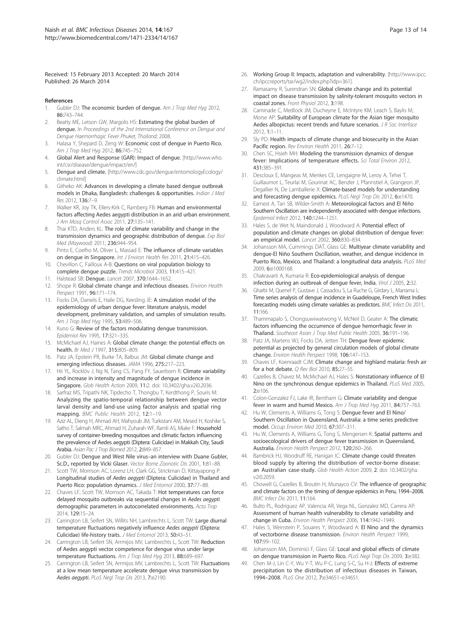Received: 15 February 2013 Accepted: 20 March 2014 Published: 26 March 2014

#### References

- 1. Gubler DJ: The economic burden of dengue. Am J Trop Med Hyg 2012, 86:743–744.
- 2. Beatty ME, Letson GW, Margolis HS: Estimating the global burden of dengue. In Proceedings of the 2nd International Conference on Dengue and Dengue Haemorrhagic Fever Phuket, Thailand; 2008.
- 3. Halasa Y, Shepard D, Zeng W: Economic cost of dengue in Puerto Rico. Am J Trop Med Hyg 2012, 86:745–752.
- 4. Global Alert and Response (GAR): Impact of dengue. [http://www.who. int/csr/disease/dengue/impact/en/]
- 5. Dengue and climate. [http://www.cdc.gov/dengue/entomologyEcology/ climate.html]
- 6. Githeko AK: Advances in developing a climate based dengue outbreak models in Dhaka, Bangladesh: challenges & opportunities. Indian J Med Res 2012, 136:7–9.
- 7. Walker KR, Joy TK, Ellers-Kirk C, Ramberg FB: Human and environmental factors affecting Aedes aegypti distribution in an arid urban environment. J Am Mosq Control Assoc 2011, 27:135–141.
- 8. Thai KTD, Anders KL: The role of climate variability and change in the transmission dynamics and geographic distribution of dengue. Exp Biol Med (Maywood) 2011, 236:944–954.
- 9. Pinto E, Coelho M, Oliver L, Massad E: The influence of climate variables on dengue in Singapore. Int J Environ Health Res 2011, 21:415-426.
- 10. Chevillon C, Failloux A-B: Questions on viral population biology to complete dengue puzzle. Trends Microbiol 2003, 11:415–421.
- 11. Halstead SB: Dengue. Lancet 2007, 370:1644-1652.
- 12. Shope R: Global climate change and infectious diseases. Environ Health Perspect 1991, 96:171–174.
- 13. Focks DA, Daniels E, Haile DG, Keesling JE: A simulation model of the epidemiology of urban dengue fever: literature analysis, model development, preliminary validation, and samples of simulation results. Am J Trop Med Hyg 1995, 53:489–506.
- 14. Kuno G: Review of the factors modulating dengue transmission. Epidemiol Rev 1995, 17:321–335.
- 15. McMichael AJ, Haines A: Global climate change: the potential effects on health. Br Med J 1997, 315:805-809.
- 16. Patz JA, Epstein PR, Burke TA, Balbus JM: Global climate change and emerging infectious diseases. JAMA 1996, 275:217–223.
- 17. Hii YL, Rocklöv J, Ng N, Tang CS, Pang FY, Sauerborn R: Climate variability and increase in intensity and magnitude of dengue incidence in Singapore. Glob Health Action 2009, 11:2. doi: 10.3402/gha.v2i0.2036.
- 18. Sarfraz MS, Tripathi NK, Tipdecho T, Thongbu T, Kerdthong P, Souris M: Analyzing the spatio-temporal relationship between dengue vector larval density and land-use using factor analysis and spatial ring mapping. BMC Public Health 2012, 12:1-19.
- 19. Aziz AL, Dieng H, Ahmad AH, Mahyoub JM, Turkistani AM, Mesed H, Koshike S, Satho T, Salmah MRC, Ahmad H, Zuharah WF, Ramli AS, Miake F: Household survey of container-breeding mosquitoes and climatic factors influencing the prevalence of Aedes aegypti (Diptera: Culicidae) in Makkah City, Saudi Arabia. Asian Pac J Trop Biomed 2012, 2:849–857.
- 20. Gubler DJ: Dengue and West Nile virus–an interview with Duane Gubler, Sc.D., reported by Vicki Glaser. Vector Borne Zoonotic Dis 2001, 1:81–88.
- 21. Scott TW, Morrison AC, Lorenz LH, Clark GG, Strickman D, Kittayapong P: Longitudinal studies of Aedes aegypti (Diptera: Culicidae) in Thailand and Puerto Rico: population dynamics. J Med Entomol 2000, 37:77-88.
- 22. Chaves LF, Scott TW, Morrison AC, Takada T: Hot temperatures can force delayed mosquito outbreaks via sequential changes in Aedes aegypti demographic parameters in autocorrelated environments. Acta Trop 2014, 129:15–24.
- 23. Carrington LB, Seifert SN, Willits NH, Lambrechts L, Scott TW: Large diurnal temperature fluctuations negatively influence Aedes aegypti (Diptera: Culicidae) life-history traits. J Med Entomol 2013, 50:43–51.
- 24. Carrington LB, Seifert SN, Arrmijos MV, Lambrechts L, Scott TW: Reduction of Aedes aegypti vector competence for dengue virus under large temperature fluctuations. Am J Trop Med Hyg 2013, 88:689-697
- 25. Carrington LB, Seifert SN, Arrmijos MV, Lambrechts L, Scott TW: Fluctuations at a low mean temperature accelerate dengue virus transmission by Aedes aegypti. PLoS Negl Trop Dis 2013, 7:e2190.
- 26. Working Group II: Impacts, adaptation and vulnerability. [http://www.ipcc. ch/ipccreports/tar/wg2/index.php?idp=361].
- 27. Ramasamy R, Surendran SN: Global climate change and its potential impact on disease transmission by salinity-tolerant mosquito vectors in coastal zones. Front Physiol 2012, 3:198.
- 28. Caminade C, Medlock JM, Ducheyne E, McIntyre KM, Leach S, Baylis M, Morse AP: Suitability of European climate for the Asian tiger mosquito Aedes albopictus: recent trends and future scenarios. J R Soc Interface 2012, 1:1–11.
- 29. Sly PD: Health impacts of climate change and biosecurity in the Asian Pacific region. Rev Environ Health 2011, 26:7-12.
- 30. Chen SC, Hsieh MH: Modeling the transmission dynamics of dengue fever: Implications of temperature effects. Sci Total Environ 2012, 431:385–391.
- 31. Descloux E, Mangeas M, Menkes CE, Lengaigne M, Leroy A, Tehei T, Guillaumot L, Teurlai M, Gourinat AC, Benzler J, Pfannstiel A, Grangeon JP, Degallier N, De Lamballerie X: Climate-based models for understanding and forecasting dengue epidemics. PLoS Negl Trop Dis 2012, 6:e1470.
- 32. Earnest A, Tan SB, Wilder-Smith A: Meteorological factors and El Niño Southern Oscillation are independently associated with dengue infections. Epidemiol Infect 2012, 140:1244–1251.
- 33. Hales S, de Wet N, Maindonald J, Woodward A: Potential effect of population and climate changes on global distribution of dengue fever: an empirical model. Lancet 2002, 360:830–834.
- 34. Johansson MA, Cummings DAT, Glass GE: Multiyear climate variability and dengue-El Niño Southern Oscillation, weather, and dengue incidence in Puerto Rico, Mexico, and Thailand: a longitudinal data analysis. PLoS Med 2009, 6:e1000168.
- 35. Chakravarti A, Kumaria R: Eco-epidemiological analysis of dengue infection during an outbreak of dengue fever, India. Virol J 2005, 2:32.
- 36. Gharbi M, Quenel P, Gustave J, Cassadou S, La Ruche G, Girdary L, Marrama L: Time series analysis of dengue incidence in Guadeloupe, French West Indies: forecasting models using climate variables as predictors. BMC Infect Dis 2011, 11:166.
- 37. Thammapalo S, Chongsuwiwatwong V, McNeil D, Geater A: The climatic factors influencing the occurrence of dengue hemorrhagic fever in Thailand. Southeast Asian J Trop Med Public Health 2005, 36:191–196.
- 38. Patz JA, Martens WJ, Focks DA, Jetten TH: Dengue fever epidemic potential as projected by general circulation models of global climate change. Environ Health Perspect 1998, 106:147-153.
- Chaves LF, Koenraadt CJM: Climate change and highland malaria: fresh air for a hot debate. Q Rev Biol 2010, 85:27–55.
- 40. Cazelles B, Chavez M, McMichael AJ, Hales S: Nonstationary influence of El Nino on the synchronous dengue epidemics in Thailand. PLoS Med 2005, 2:e106.
- 41. Colon-Gonzalez FJ, Lake IR, Bentham G: Climate variability and dengue fever in warm and humid Mexico. Am J Trop Med Hyg 2011, 84:757-763.
- 42. Hu W, Clements A, Williams G, Tong S: Dengue fever and El Nino/ Southern Oscillation in Queensland, Australia: a time series predictive model. Occup Environ Med 2010, 67:307–311.
- 43. Hu W, Clements A, Williams G, Tong S, Mengersen K: Spatial patterns and socioecological drivers of dengue fever transmission in Queensland, Australia. Environ Health Perspect 2012, 120:260–266.
- 44. Bambrick HJ, Woodruff RE, Hanigan IC: Climate change could threaten blood supply by altering the distribution of vector-borne disease: an Australian case-study. Glob Health Action 2009, 2. doi: 10.3402/gha. v2i0.2059.
- 45. Chowell G, Cazelles B, Broutin H, Munayco CV: The influence of geographic and climate factors on the timing of dengue epidemics in Peru, 1994–2008. BMC Infect Dis 2011, 11:164.
- 46. Bulto PL, Rodriguez AP, Valencia AR, Vega NL, Gonzalez MD, Carrera AP: Assessment of human health vulnerability to climate variability and change in Cuba. Environ Health Perspect 2006, 114:1942–1949.
- 47. Hales S, Weinstein P, Souares Y, Woodward A: El Nino and the dynamics of vectorborne disease transmission. Environ Health Perspect 1999, 107:99–102.
- 48. Johansson MA, Dominici F, Glass GE: Local and global effects of climate on dengue transmission in Puerto Rico. PLoS Negl Trop Dis 2009, 3:e382.
- 49. Chen M-J, Lin C-Y, Wu Y-T, Wu P-C, Lung S-C, Su H-J: Effects of extreme precipitation to the distribution of infectious diseases in Taiwan, 1994–2008. PLoS One 2012, 7:e34651–e34651.